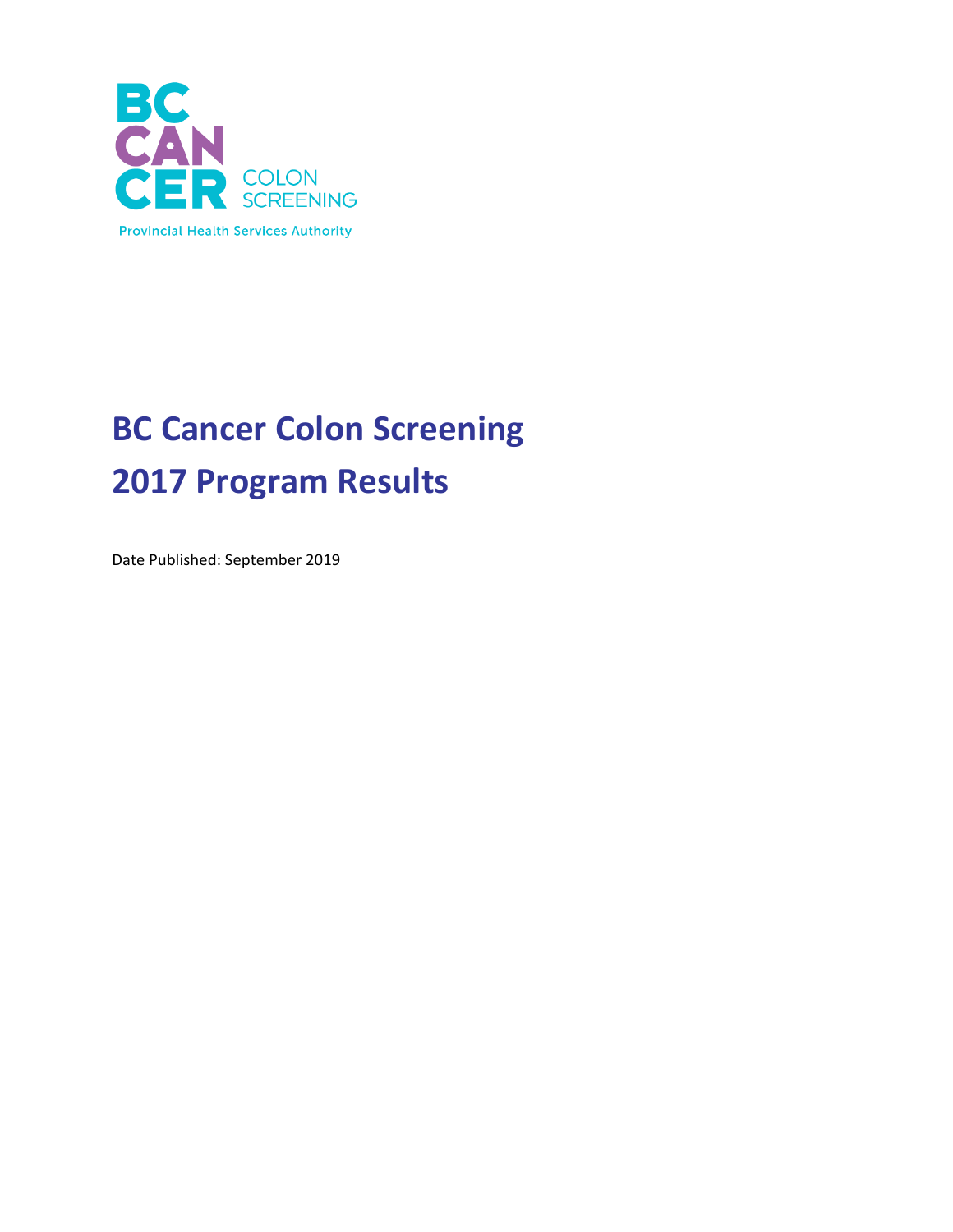

# **BC Cancer Colon Screening 2017 Program Results**

Date Published: September 2019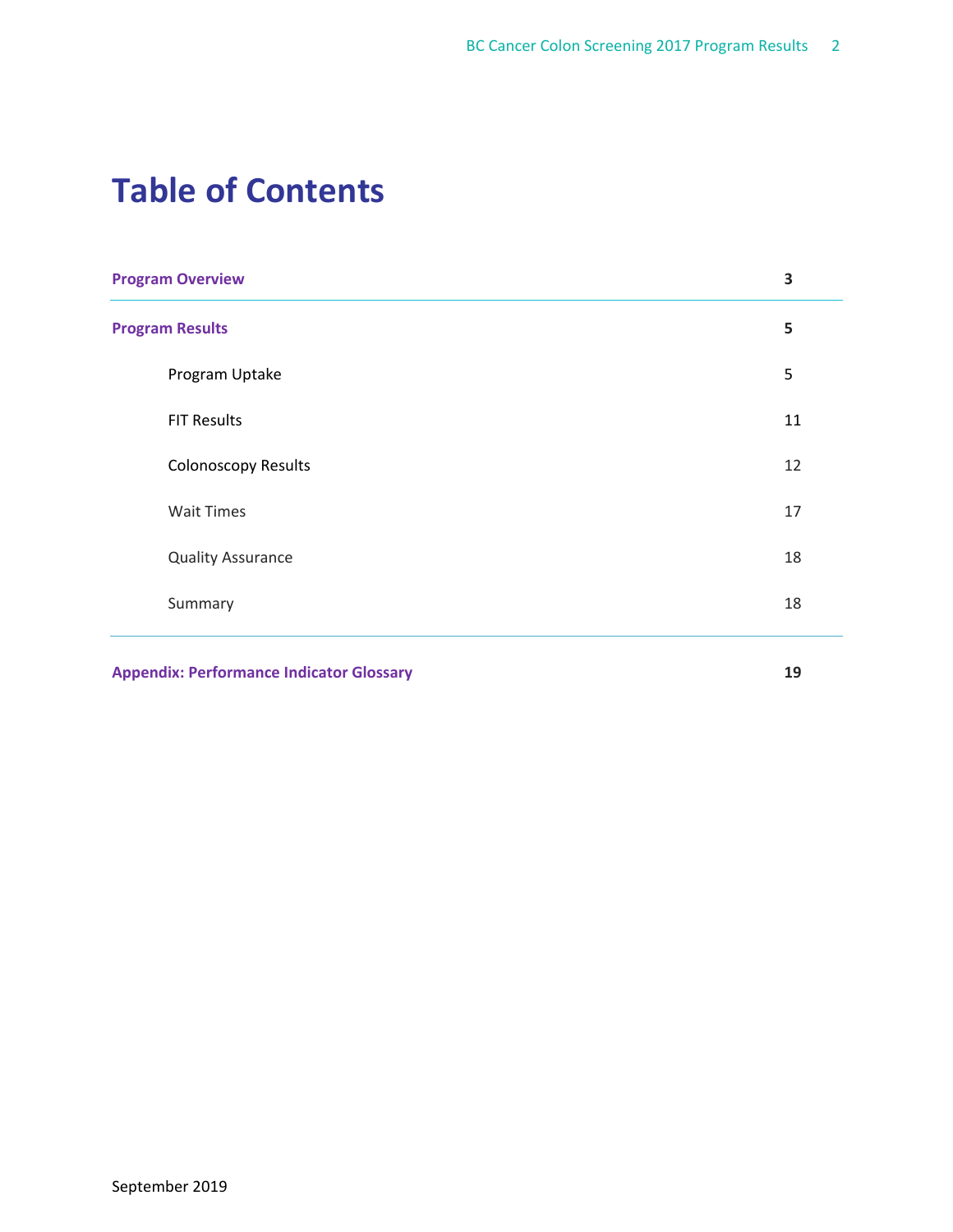# **Table of Contents**

| <b>Program Overview</b>    | 3  |
|----------------------------|----|
| <b>Program Results</b>     | 5  |
| Program Uptake             | 5  |
| <b>FIT Results</b>         | 11 |
| <b>Colonoscopy Results</b> | 12 |
| <b>Wait Times</b>          | 17 |
| <b>Quality Assurance</b>   | 18 |
| Summary                    | 18 |
|                            |    |

**Appendix: Performance Indicator Glossary 19**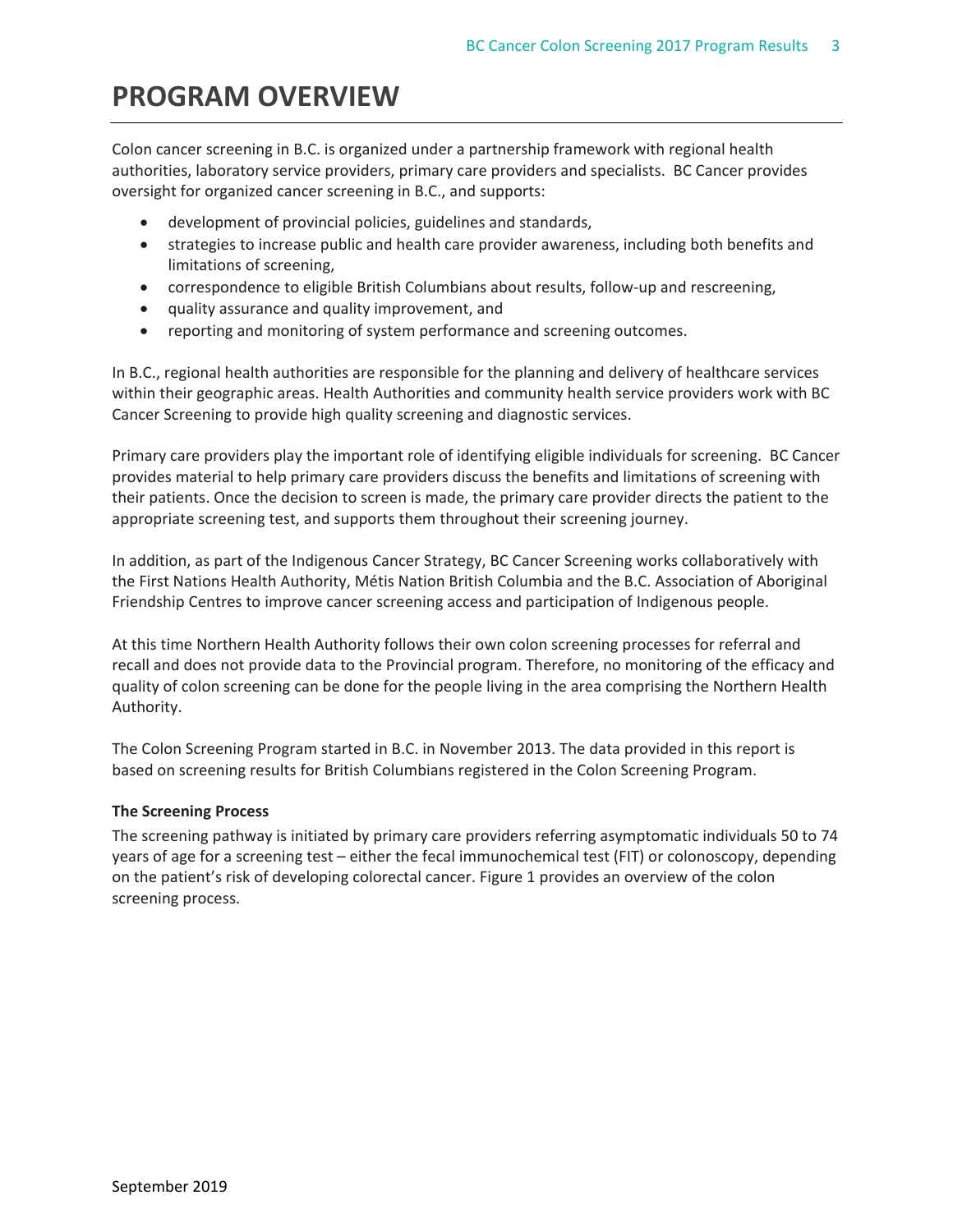# **PROGRAM OVERVIEW**

Colon cancer screening in B.C. is organized under a partnership framework with regional health authorities, laboratory service providers, primary care providers and specialists. BC Cancer provides oversight for organized cancer screening in B.C., and supports:

- development of provincial policies, guidelines and standards,
- strategies to increase public and health care provider awareness, including both benefits and limitations of screening,
- correspondence to eligible British Columbians about results, follow-up and rescreening,
- quality assurance and quality improvement, and
- reporting and monitoring of system performance and screening outcomes.

In B.C., regional health authorities are responsible for the planning and delivery of healthcare services within their geographic areas. Health Authorities and community health service providers work with BC Cancer Screening to provide high quality screening and diagnostic services.

Primary care providers play the important role of identifying eligible individuals for screening. BC Cancer provides material to help primary care providers discuss the benefits and limitations of screening with their patients. Once the decision to screen is made, the primary care provider directs the patient to the appropriate screening test, and supports them throughout their screening journey.

In addition, as part of the Indigenous Cancer Strategy, BC Cancer Screening works collaboratively with the First Nations Health Authority, Métis Nation British Columbia and the B.C. Association of Aboriginal Friendship Centres to improve cancer screening access and participation of Indigenous people.

At this time Northern Health Authority follows their own colon screening processes for referral and recall and does not provide data to the Provincial program. Therefore, no monitoring of the efficacy and quality of colon screening can be done for the people living in the area comprising the Northern Health Authority.

The Colon Screening Program started in B.C. in November 2013. The data provided in this report is based on screening results for British Columbians registered in the Colon Screening Program.

## **The Screening Process**

The screening pathway is initiated by primary care providers referring asymptomatic individuals 50 to 74 years of age for a screening test – either the fecal immunochemical test (FIT) or colonoscopy, depending on the patient's risk of developing colorectal cancer. Figure 1 provides an overview of the colon screening process.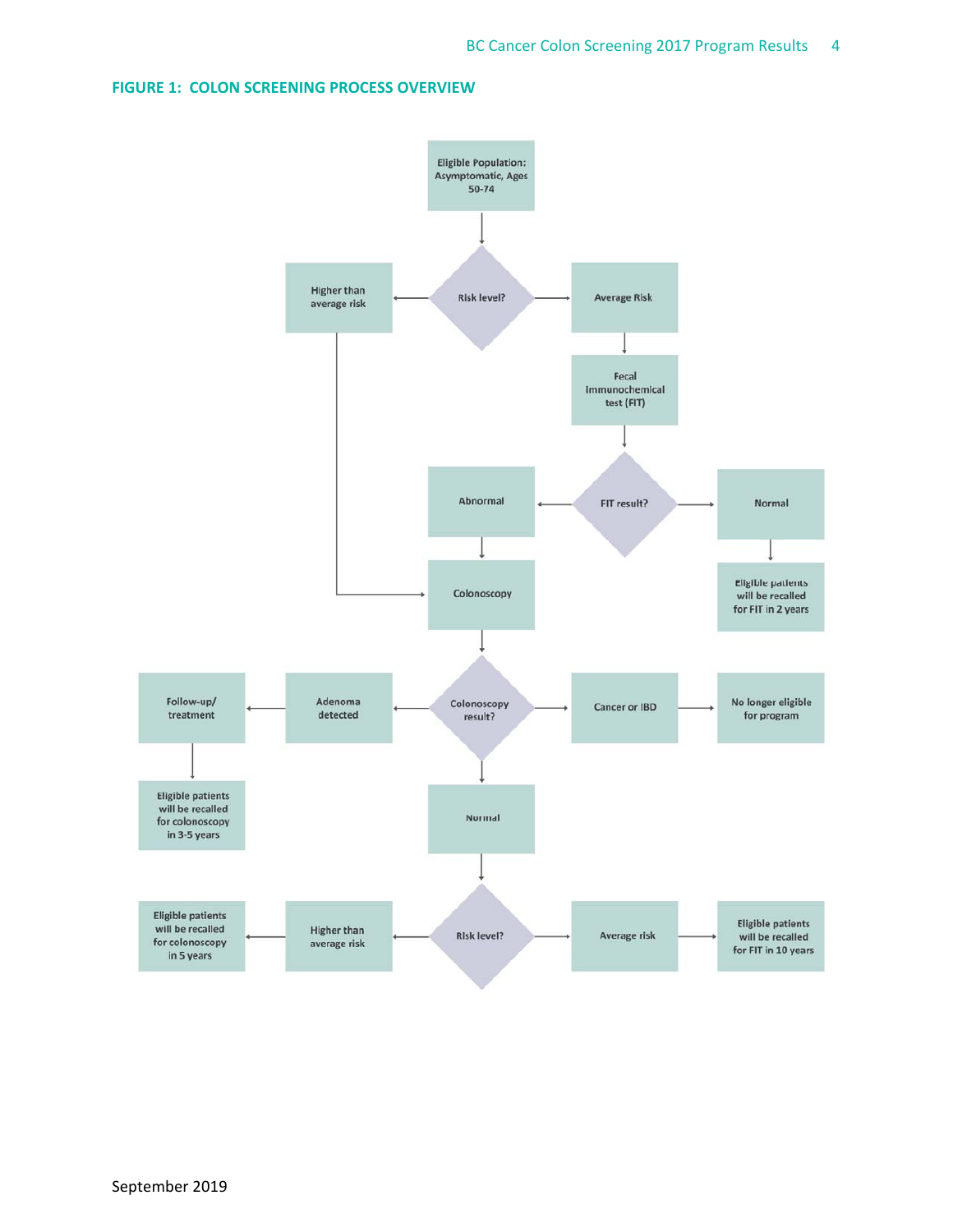## **FIGURE 1: COLON SCREENING PROCESS OVERVIEW**

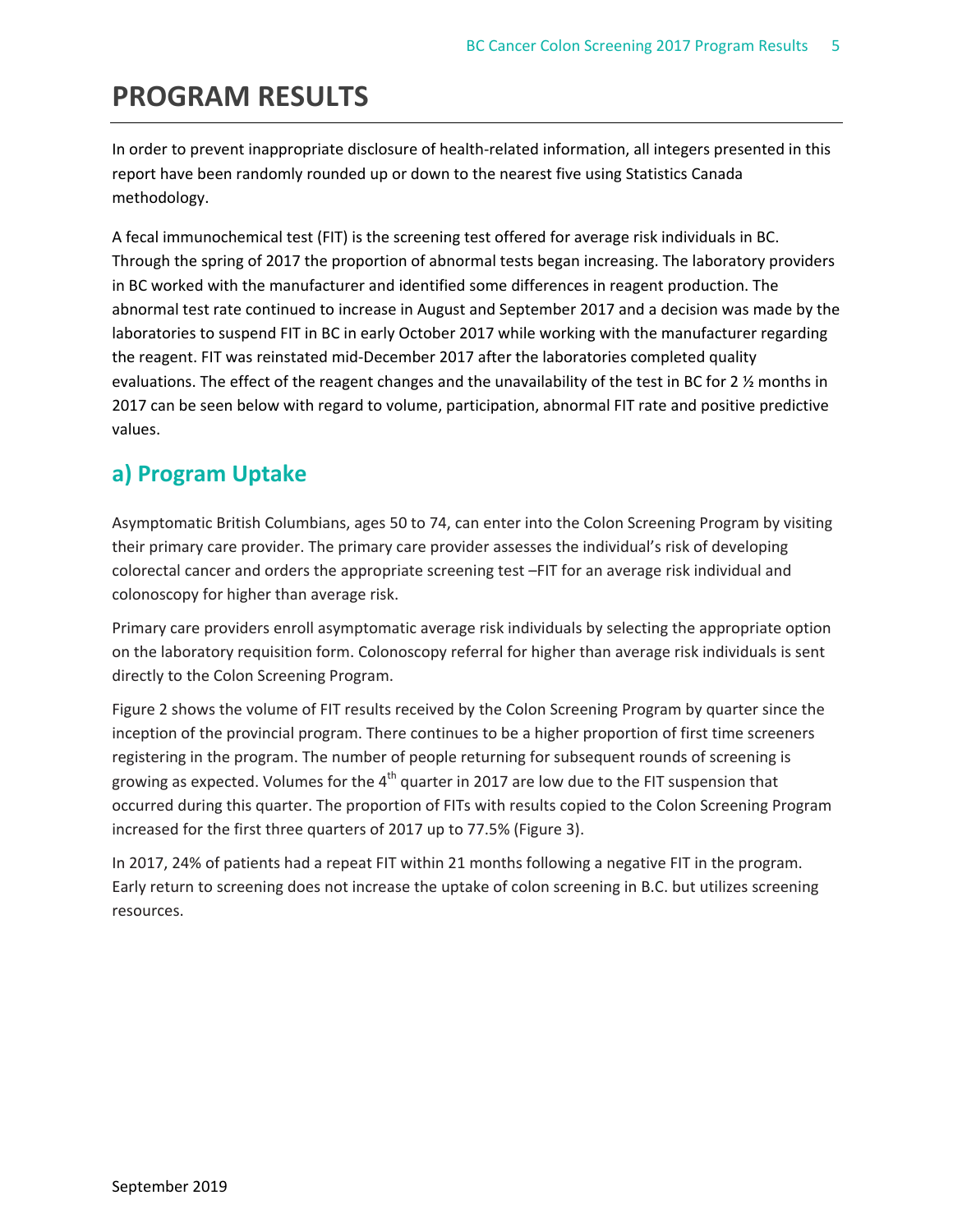# **PROGRAM RESULTS**

In order to prevent inappropriate disclosure of health-related information, all integers presented in this report have been randomly rounded up or down to the nearest five using Statistics Canada methodology.

A fecal immunochemical test (FIT) is the screening test offered for average risk individuals in BC. Through the spring of 2017 the proportion of abnormal tests began increasing. The laboratory providers in BC worked with the manufacturer and identified some differences in reagent production. The abnormal test rate continued to increase in August and September 2017 and a decision was made by the laboratories to suspend FIT in BC in early October 2017 while working with the manufacturer regarding the reagent. FIT was reinstated mid‐December 2017 after the laboratories completed quality evaluations. The effect of the reagent changes and the unavailability of the test in BC for 2  $\frac{\cancel{2}}{2}$  months in 2017 can be seen below with regard to volume, participation, abnormal FIT rate and positive predictive values.

## **a) Program Uptake**

Asymptomatic British Columbians, ages 50 to 74, can enter into the Colon Screening Program by visiting their primary care provider. The primary care provider assesses the individual's risk of developing colorectal cancer and orders the appropriate screening test –FIT for an average risk individual and colonoscopy for higher than average risk.

Primary care providers enroll asymptomatic average risk individuals by selecting the appropriate option on the laboratory requisition form. Colonoscopy referral for higher than average risk individuals is sent directly to the Colon Screening Program.

Figure 2 shows the volume of FIT results received by the Colon Screening Program by quarter since the inception of the provincial program. There continues to be a higher proportion of first time screeners registering in the program. The number of people returning for subsequent rounds of screening is growing as expected. Volumes for the  $4<sup>th</sup>$  quarter in 2017 are low due to the FIT suspension that occurred during this quarter. The proportion of FITs with results copied to the Colon Screening Program increased for the first three quarters of 2017 up to 77.5% (Figure 3).

In 2017, 24% of patients had a repeat FIT within 21 months following a negative FIT in the program. Early return to screening does not increase the uptake of colon screening in B.C. but utilizes screening resources.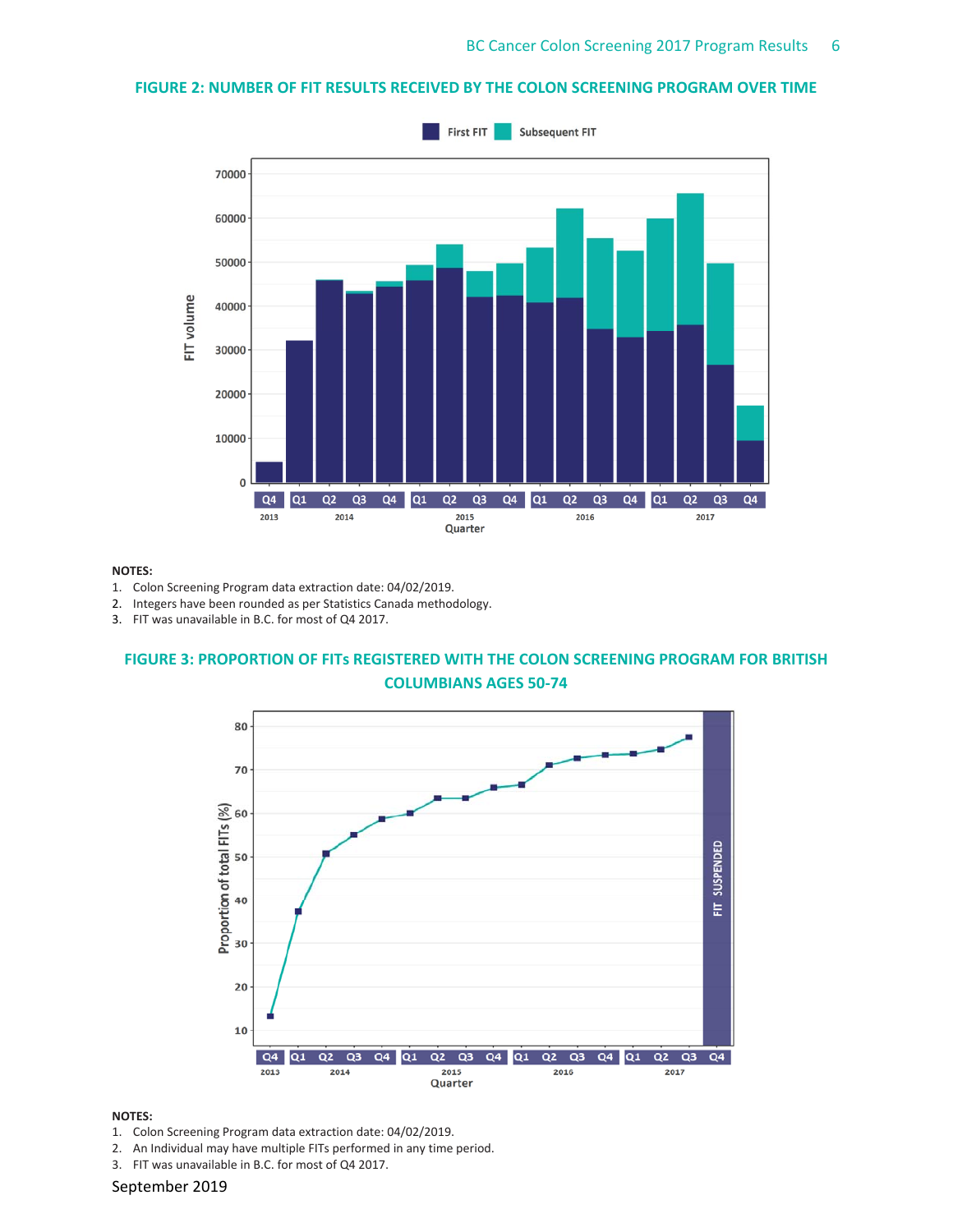## **FIGURE 2: NUMBER OF FIT RESULTS RECEIVED BY THE COLON SCREENING PROGRAM OVER TIME**



#### **NOTES:**

- 1. Colon Screening Program data extraction date: 04/02/2019.
- 2. Integers have been rounded as per Statistics Canada methodology.
- 3. FIT was unavailable in B.C. for most of Q4 2017.

## **FIGURE 3: PROPORTION OF FITs REGISTERED WITH THE COLON SCREENING PROGRAM FOR BRITISH COLUMBIANS AGES 50‐74**



#### **NOTES:**

- 1. Colon Screening Program data extraction date: 04/02/2019.
- 2. An Individual may have multiple FITs performed in any time period.
- 3. FIT was unavailable in B.C. for most of Q4 2017.

#### September 2019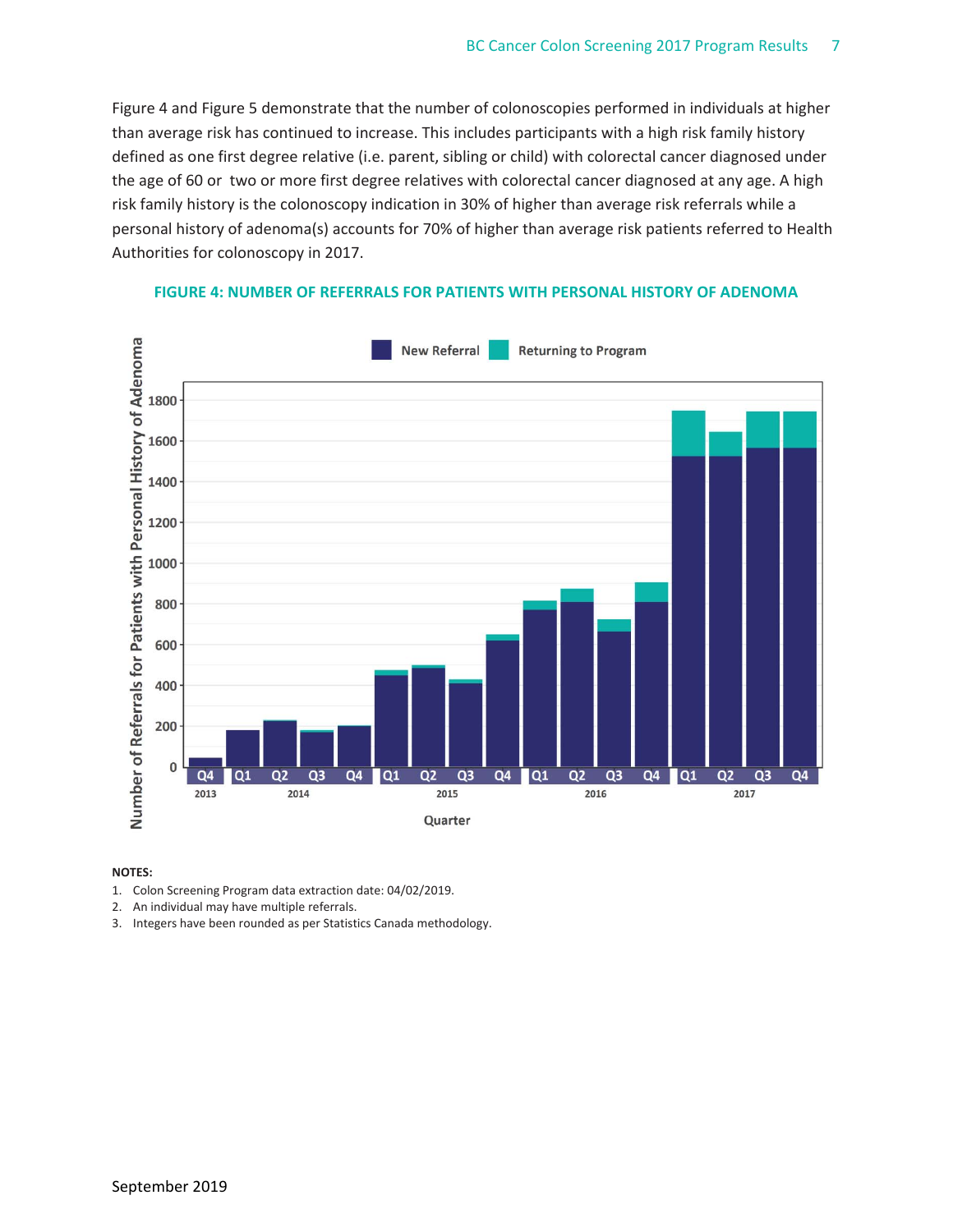Figure 4 and Figure 5 demonstrate that the number of colonoscopies performed in individuals at higher than average risk has continued to increase. This includes participants with a high risk family history defined as one first degree relative (i.e. parent, sibling or child) with colorectal cancer diagnosed under the age of 60 or two or more first degree relatives with colorectal cancer diagnosed at any age. A high risk family history is the colonoscopy indication in 30% of higher than average risk referrals while a personal history of adenoma(s) accounts for 70% of higher than average risk patients referred to Health Authorities for colonoscopy in 2017.



#### **FIGURE 4: NUMBER OF REFERRALS FOR PATIENTS WITH PERSONAL HISTORY OF ADENOMA**

- 1. Colon Screening Program data extraction date: 04/02/2019.
- 2. An individual may have multiple referrals.
- 3. Integers have been rounded as per Statistics Canada methodology.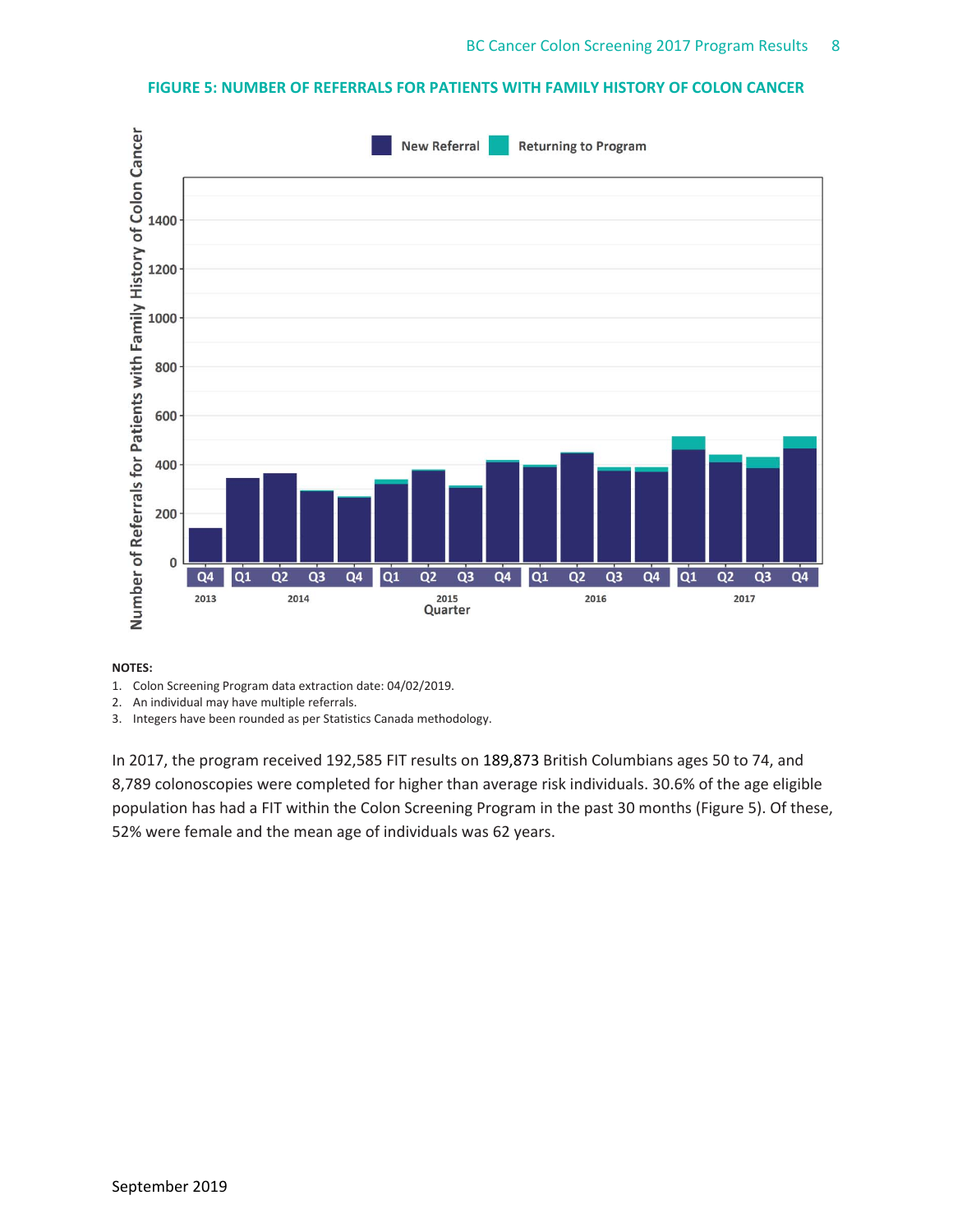## **FIGURE 5: NUMBER OF REFERRALS FOR PATIENTS WITH FAMILY HISTORY OF COLON CANCER**



#### **NOTES:**

- 1. Colon Screening Program data extraction date: 04/02/2019.
- 2. An individual may have multiple referrals.
- 3. Integers have been rounded as per Statistics Canada methodology.

In 2017, the program received 192,585 FIT results on 189,873 British Columbians ages 50 to 74, and 8,789 colonoscopies were completed for higher than average risk individuals. 30.6% of the age eligible population has had a FIT within the Colon Screening Program in the past 30 months (Figure 5). Of these, 52% were female and the mean age of individuals was 62 years.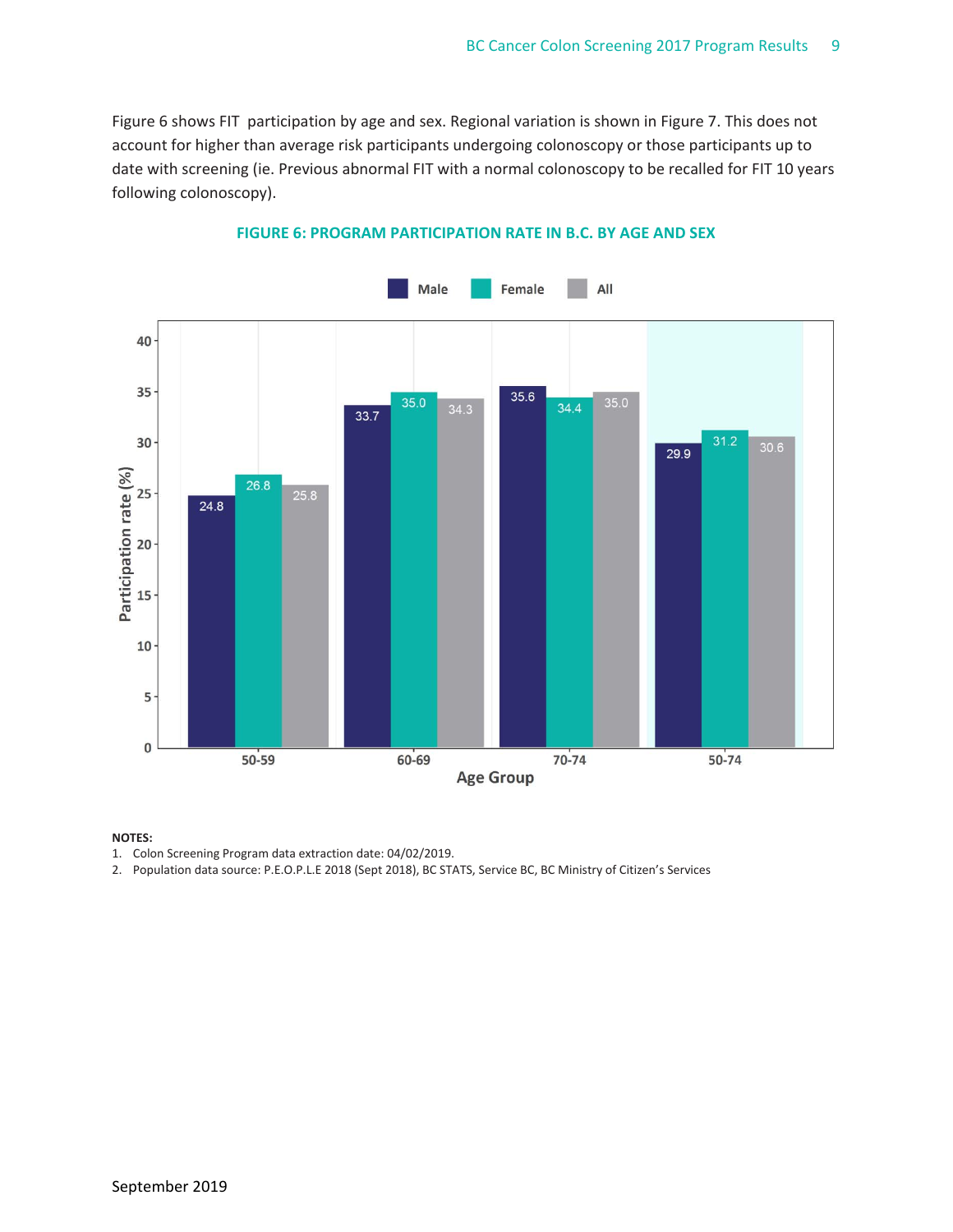Figure 6 shows FIT participation by age and sex. Regional variation is shown in Figure 7. This does not account for higher than average risk participants undergoing colonoscopy or those participants up to date with screening (ie. Previous abnormal FIT with a normal colonoscopy to be recalled for FIT 10 years following colonoscopy).



### **FIGURE 6: PROGRAM PARTICIPATION RATE IN B.C. BY AGE AND SEX**

#### **NOTES:**

1. Colon Screening Program data extraction date: 04/02/2019.

2. Population data source: P.E.O.P.L.E 2018 (Sept 2018), BC STATS, Service BC, BC Ministry of Citizen's Services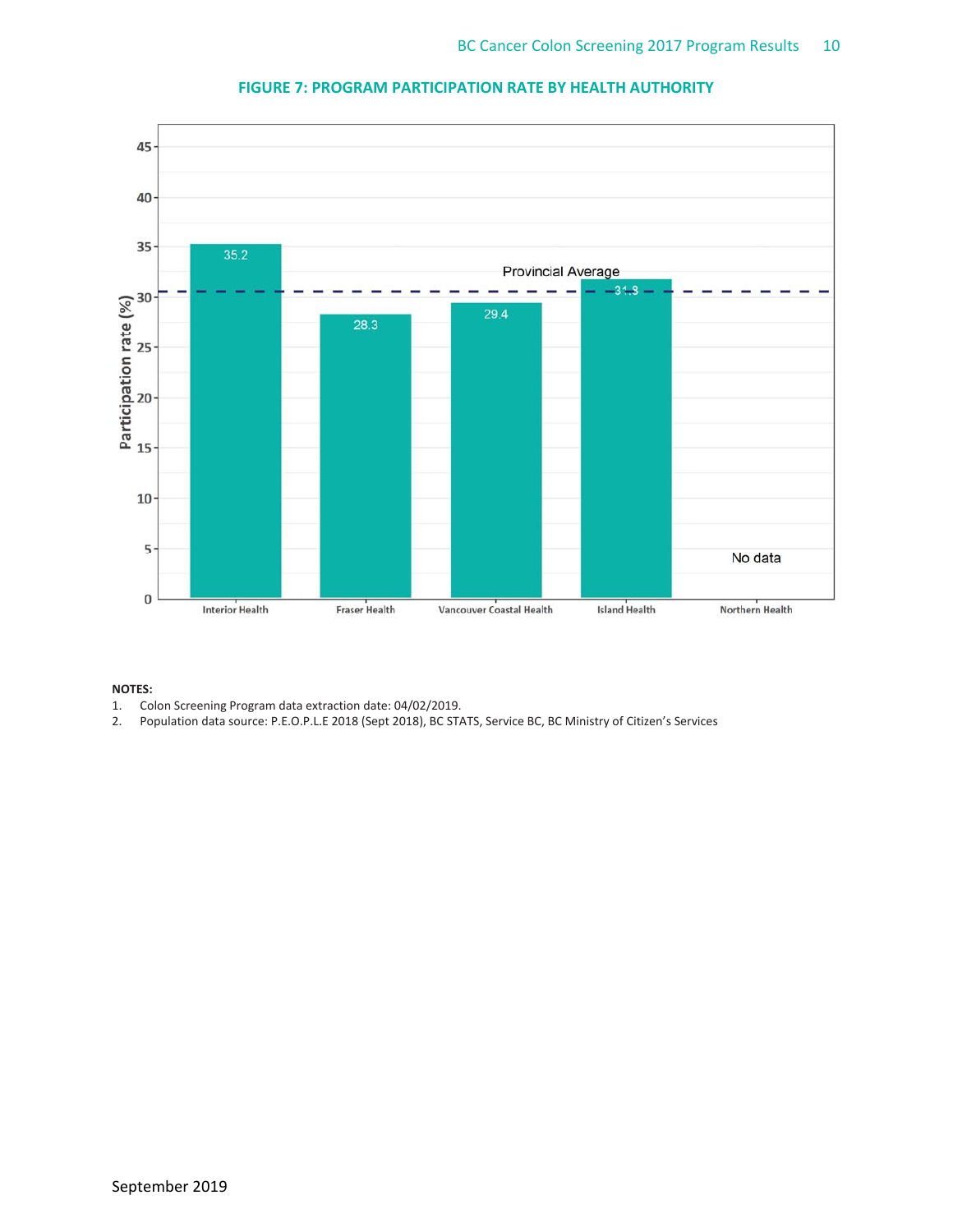

## **FIGURE 7: PROGRAM PARTICIPATION RATE BY HEALTH AUTHORITY**

- 1. Colon Screening Program data extraction date: 04/02/2019.
- 2. Population data source: P.E.O.P.L.E 2018 (Sept 2018), BC STATS, Service BC, BC Ministry of Citizen's Services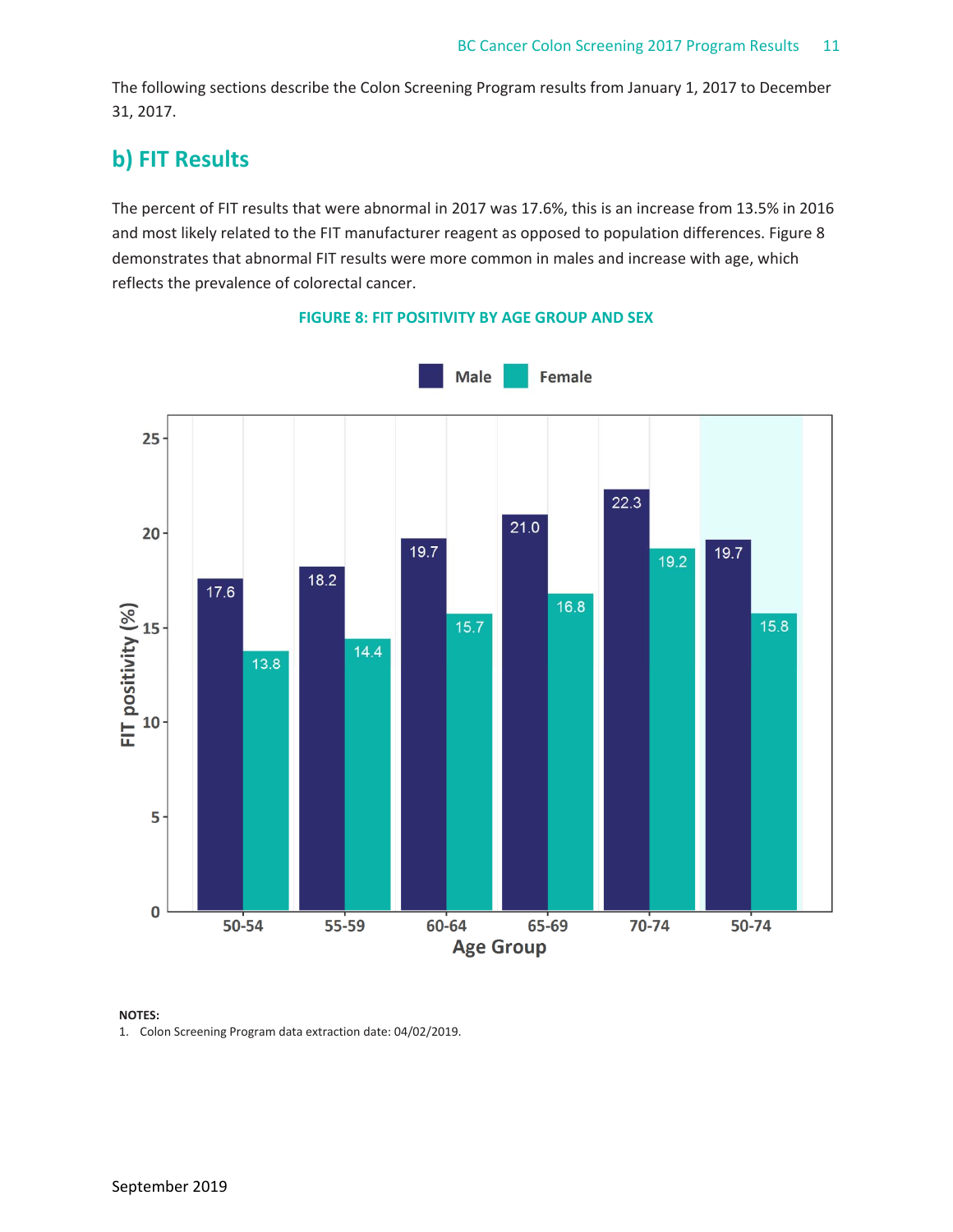The following sections describe the Colon Screening Program results from January 1, 2017 to December 31, 2017.

# **b) FIT Results**

The percent of FIT results that were abnormal in 2017 was 17.6%, this is an increase from 13.5% in 2016 and most likely related to the FIT manufacturer reagent as opposed to population differences. Figure 8 demonstrates that abnormal FIT results were more common in males and increase with age, which reflects the prevalence of colorectal cancer.



## **FIGURE 8: FIT POSITIVITY BY AGE GROUP AND SEX**

### **NOTES:**

1. Colon Screening Program data extraction date: 04/02/2019.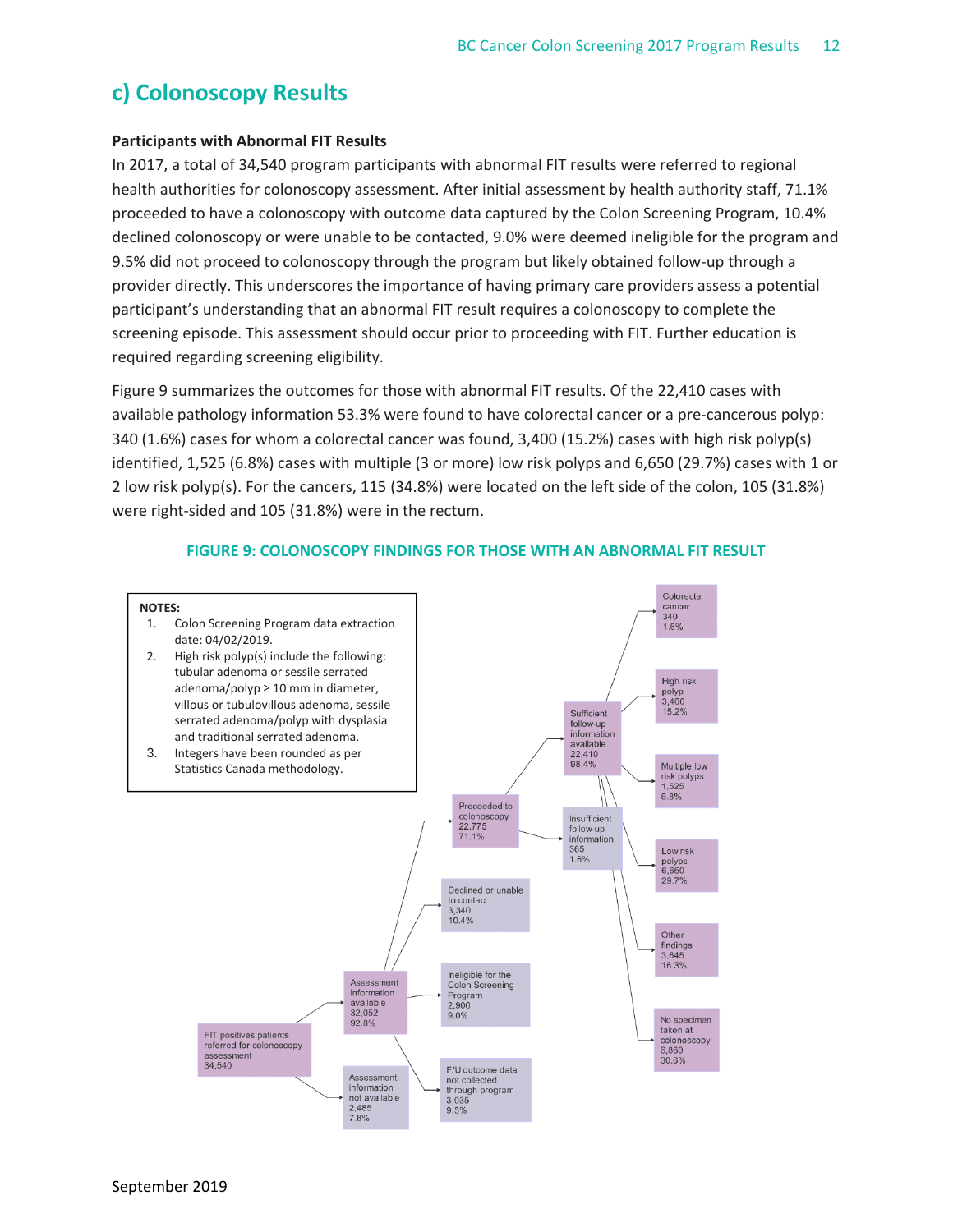## **c) Colonoscopy Results**

## **Participants with Abnormal FIT Results**

In 2017, a total of 34,540 program participants with abnormal FIT results were referred to regional health authorities for colonoscopy assessment. After initial assessment by health authority staff, 71.1% proceeded to have a colonoscopy with outcome data captured by the Colon Screening Program, 10.4% declined colonoscopy or were unable to be contacted, 9.0% were deemed ineligible for the program and 9.5% did not proceed to colonoscopy through the program but likely obtained follow-up through a provider directly. This underscores the importance of having primary care providers assess a potential participant's understanding that an abnormal FIT result requires a colonoscopy to complete the screening episode. This assessment should occur prior to proceeding with FIT. Further education is required regarding screening eligibility.

Figure 9 summarizes the outcomes for those with abnormal FIT results. Of the 22,410 cases with available pathology information 53.3% were found to have colorectal cancer or a pre‐cancerous polyp: 340 (1.6%) cases for whom a colorectal cancer was found, 3,400 (15.2%) cases with high risk polyp(s) identified, 1,525 (6.8%) cases with multiple (3 or more) low risk polyps and 6,650 (29.7%) cases with 1 or 2 low risk polyp(s). For the cancers, 115 (34.8%) were located on the left side of the colon, 105 (31.8%) were right-sided and 105 (31.8%) were in the rectum.



#### **FIGURE 9: COLONOSCOPY FINDINGS FOR THOSE WITH AN ABNORMAL FIT RESULT**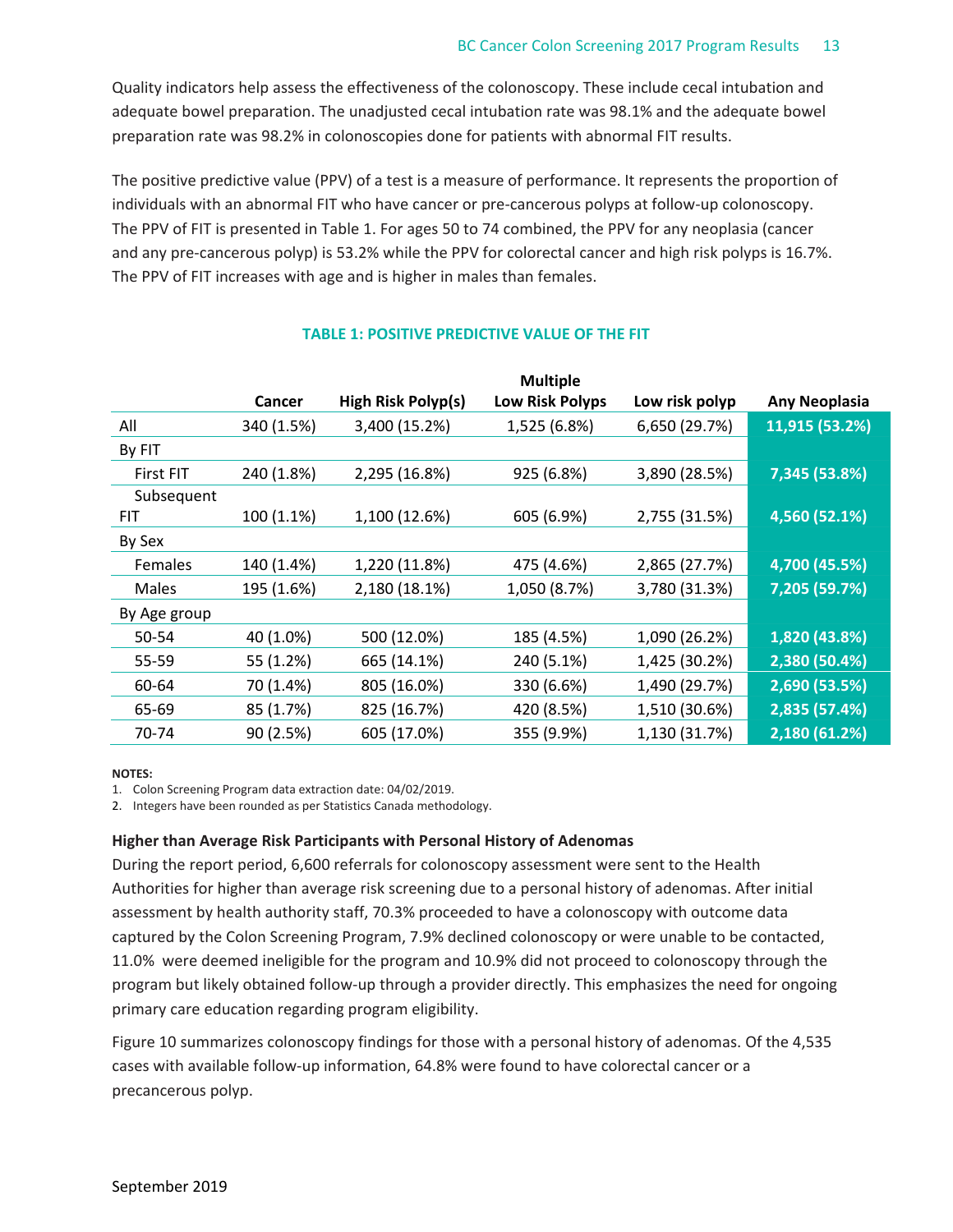Quality indicators help assess the effectiveness of the colonoscopy. These include cecal intubation and adequate bowel preparation. The unadjusted cecal intubation rate was 98.1% and the adequate bowel preparation rate was 98.2% in colonoscopies done for patients with abnormal FIT results.

The positive predictive value (PPV) of a test is a measure of performance. It represents the proportion of individuals with an abnormal FIT who have cancer or pre‐cancerous polyps at follow‐up colonoscopy. The PPV of FIT is presented in Table 1. For ages 50 to 74 combined, the PPV for any neoplasia (cancer and any pre-cancerous polyp) is 53.2% while the PPV for colorectal cancer and high risk polyps is 16.7%. The PPV of FIT increases with age and is higher in males than females.

|              |            |                    | <b>Multiple</b>        |                |                      |
|--------------|------------|--------------------|------------------------|----------------|----------------------|
|              | Cancer     | High Risk Polyp(s) | <b>Low Risk Polyps</b> | Low risk polyp | <b>Any Neoplasia</b> |
| All          | 340 (1.5%) | 3,400 (15.2%)      | 1,525 (6.8%)           | 6,650 (29.7%)  | 11,915 (53.2%)       |
| By FIT       |            |                    |                        |                |                      |
| First FIT    | 240 (1.8%) | 2,295 (16.8%)      | 925 (6.8%)             | 3,890 (28.5%)  | 7,345 (53.8%)        |
| Subsequent   |            |                    |                        |                |                      |
| FIT.         | 100 (1.1%) | 1,100 (12.6%)      | 605 (6.9%)             | 2,755 (31.5%)  | 4,560 (52.1%)        |
| By Sex       |            |                    |                        |                |                      |
| Females      | 140 (1.4%) | 1,220 (11.8%)      | 475 (4.6%)             | 2,865 (27.7%)  | 4,700 (45.5%)        |
| Males        | 195 (1.6%) | 2,180 (18.1%)      | 1,050 (8.7%)           | 3,780 (31.3%)  | 7,205 (59.7%)        |
| By Age group |            |                    |                        |                |                      |
| 50-54        | 40 (1.0%)  | 500 (12.0%)        | 185 (4.5%)             | 1,090 (26.2%)  | 1,820 (43.8%)        |
| 55-59        | 55 (1.2%)  | 665 (14.1%)        | 240 (5.1%)             | 1,425 (30.2%)  | 2,380 (50.4%)        |
| 60-64        | 70 (1.4%)  | 805 (16.0%)        | 330 (6.6%)             | 1,490 (29.7%)  | 2,690 (53.5%)        |
| 65-69        | 85 (1.7%)  | 825 (16.7%)        | 420 (8.5%)             | 1,510 (30.6%)  | 2,835 (57.4%)        |
| 70-74        | 90 (2.5%)  | 605 (17.0%)        | 355 (9.9%)             | 1,130 (31.7%)  | 2,180 (61.2%)        |

## **TABLE 1: POSITIVE PREDICTIVE VALUE OF THE FIT**

#### **NOTES:**

1. Colon Screening Program data extraction date: 04/02/2019.

2. Integers have been rounded as per Statistics Canada methodology.

## **Higher than Average Risk Participants with Personal History of Adenomas**

During the report period, 6,600 referrals for colonoscopy assessment were sent to the Health Authorities for higher than average risk screening due to a personal history of adenomas. After initial assessment by health authority staff, 70.3% proceeded to have a colonoscopy with outcome data captured by the Colon Screening Program, 7.9% declined colonoscopy or were unable to be contacted, 11.0% were deemed ineligible for the program and 10.9% did not proceed to colonoscopy through the program but likely obtained follow‐up through a provider directly. This emphasizes the need for ongoing primary care education regarding program eligibility.

Figure 10 summarizes colonoscopy findings for those with a personal history of adenomas. Of the 4,535 cases with available follow‐up information, 64.8% were found to have colorectal cancer or a precancerous polyp.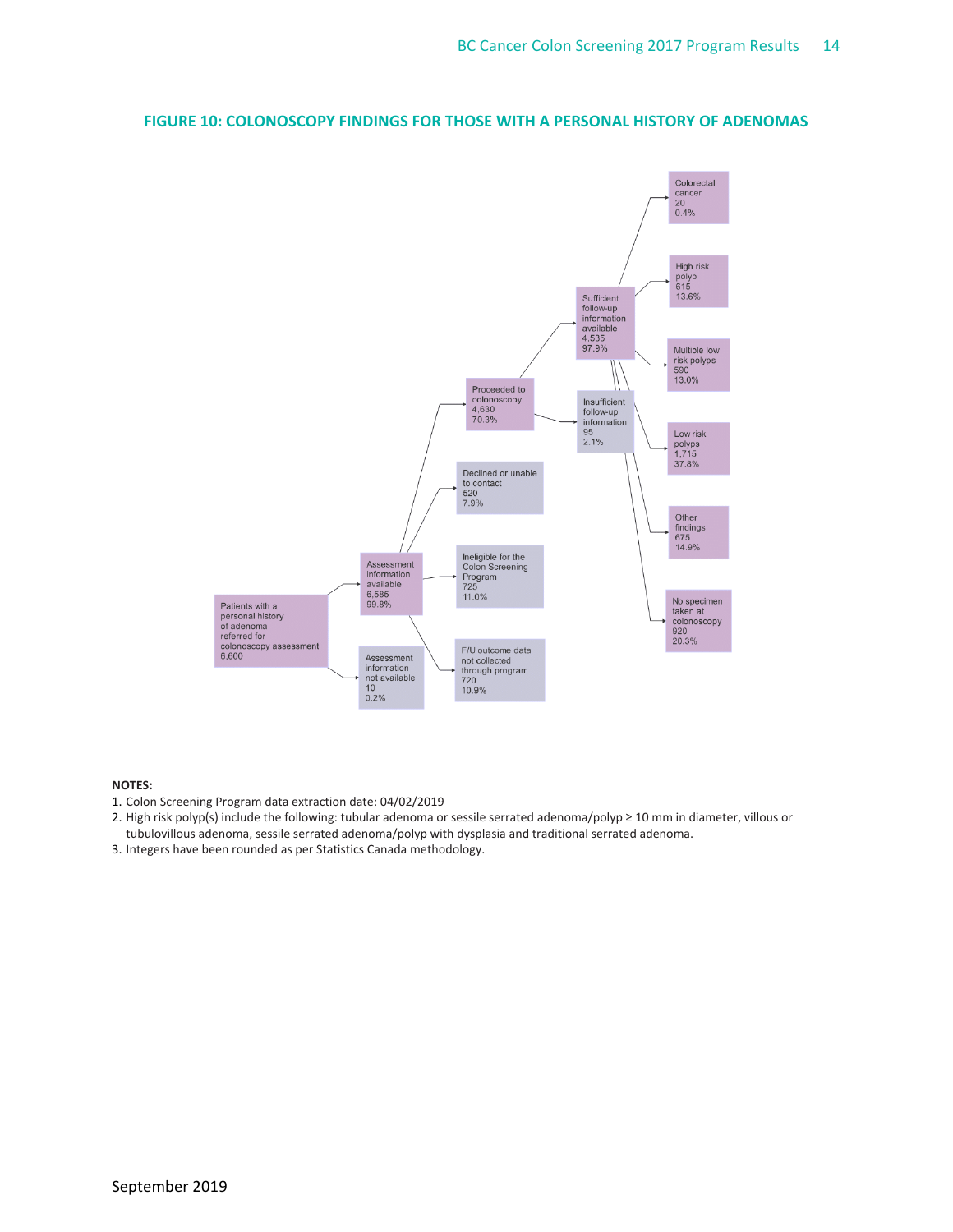

## **FIGURE 10: COLONOSCOPY FINDINGS FOR THOSE WITH A PERSONAL HISTORY OF ADENOMAS**

- 1. Colon Screening Program data extraction date: 04/02/2019
- 2. High risk polyp(s) include the following: tubular adenoma or sessile serrated adenoma/polyp ≥ 10 mm in diameter, villous or tubulovillous adenoma, sessile serrated adenoma/polyp with dysplasia and traditional serrated adenoma.
- 3. Integers have been rounded as per Statistics Canada methodology.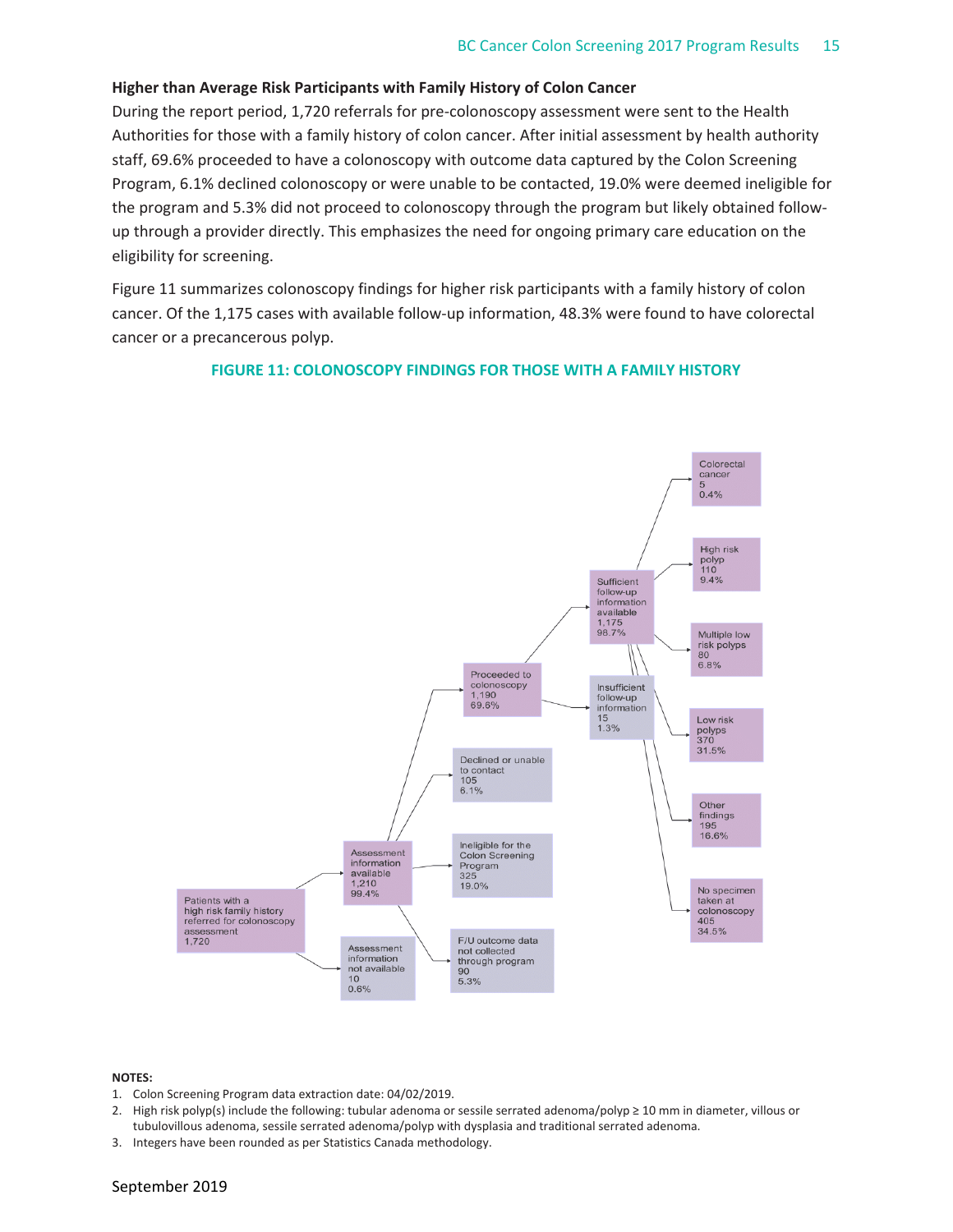### **Higher than Average Risk Participants with Family History of Colon Cancer**

During the report period, 1,720 referrals for pre‐colonoscopy assessment were sent to the Health Authorities for those with a family history of colon cancer. After initial assessment by health authority staff, 69.6% proceeded to have a colonoscopy with outcome data captured by the Colon Screening Program, 6.1% declined colonoscopy or were unable to be contacted, 19.0% were deemed ineligible for the program and 5.3% did not proceed to colonoscopy through the program but likely obtained follow‐ up through a provider directly. This emphasizes the need for ongoing primary care education on the eligibility for screening.

Figure 11 summarizes colonoscopy findings for higher risk participants with a family history of colon cancer. Of the 1,175 cases with available follow‐up information, 48.3% were found to have colorectal cancer or a precancerous polyp.

#### **FIGURE 11: COLONOSCOPY FINDINGS FOR THOSE WITH A FAMILY HISTORY**



- 1. Colon Screening Program data extraction date: 04/02/2019.
- 2. High risk polyp(s) include the following: tubular adenoma or sessile serrated adenoma/polyp ≥ 10 mm in diameter, villous or tubulovillous adenoma, sessile serrated adenoma/polyp with dysplasia and traditional serrated adenoma.
- 3. Integers have been rounded as per Statistics Canada methodology.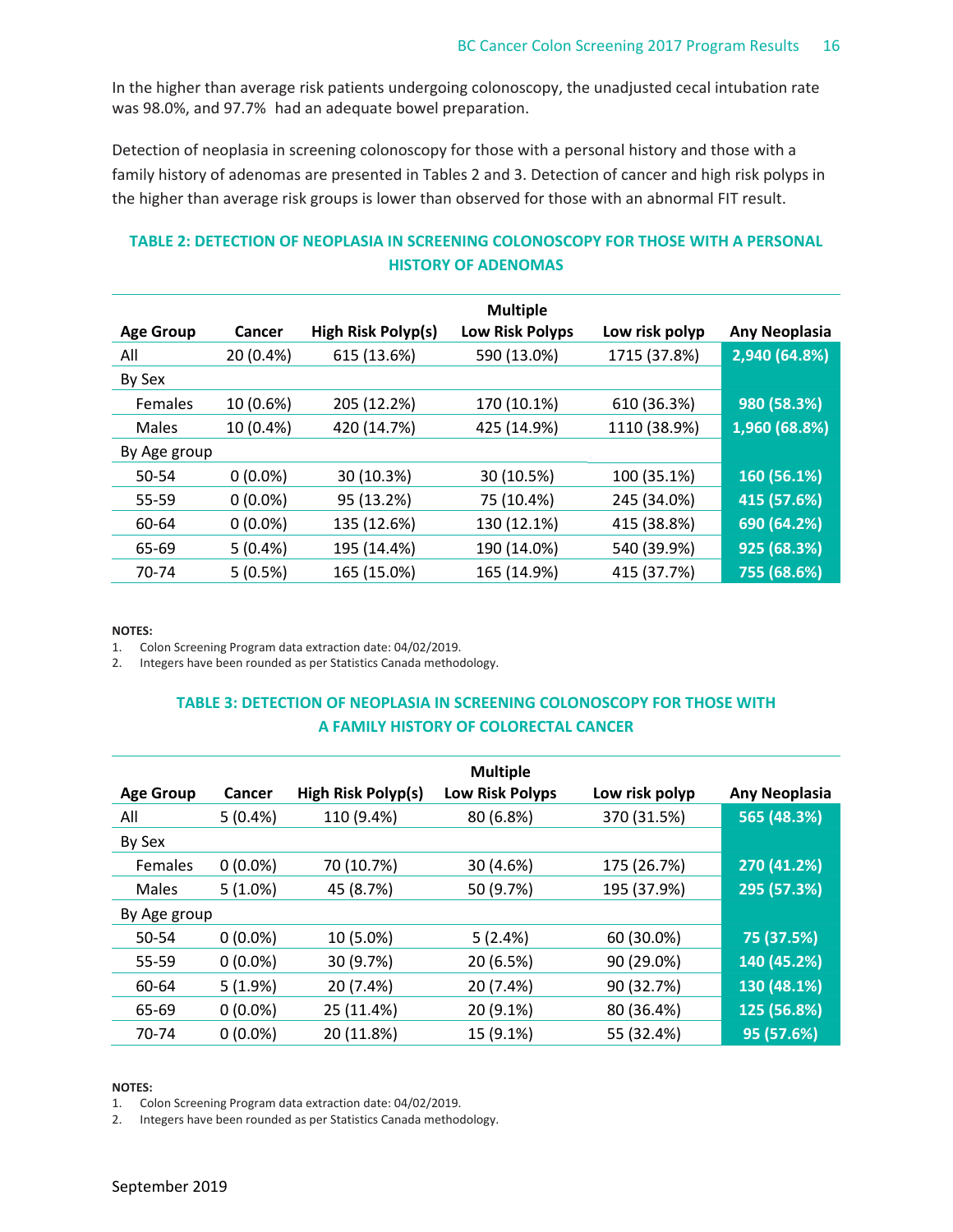In the higher than average risk patients undergoing colonoscopy, the unadjusted cecal intubation rate was 98.0%, and 97.7% had an adequate bowel preparation.

Detection of neoplasia in screening colonoscopy for those with a personal history and those with a family history of adenomas are presented in Tables 2 and 3. Detection of cancer and high risk polyps in the higher than average risk groups is lower than observed for those with an abnormal FIT result.

## **TABLE 2: DETECTION OF NEOPLASIA IN SCREENING COLONOSCOPY FOR THOSE WITH A PERSONAL HISTORY OF ADENOMAS**

|                  |            |                    | <b>Multiple</b>        |                |                      |
|------------------|------------|--------------------|------------------------|----------------|----------------------|
| <b>Age Group</b> | Cancer     | High Risk Polyp(s) | <b>Low Risk Polyps</b> | Low risk polyp | <b>Any Neoplasia</b> |
| All              | 20 (0.4%)  | 615 (13.6%)        | 590 (13.0%)            | 1715 (37.8%)   | 2,940 (64.8%)        |
| By Sex           |            |                    |                        |                |                      |
| Females          | 10 (0.6%)  | 205 (12.2%)        | 170 (10.1%)            | 610 (36.3%)    | 980 (58.3%)          |
| Males            | 10 (0.4%)  | 420 (14.7%)        | 425 (14.9%)            | 1110 (38.9%)   | 1,960 (68.8%)        |
| By Age group     |            |                    |                        |                |                      |
| 50-54            | $0(0.0\%)$ | 30 (10.3%)         | 30 (10.5%)             | 100 (35.1%)    | 160 (56.1%)          |
| 55-59            | $0(0.0\%)$ | 95 (13.2%)         | 75 (10.4%)             | 245 (34.0%)    | 415 (57.6%)          |
| 60-64            | $0(0.0\%)$ | 135 (12.6%)        | 130 (12.1%)            | 415 (38.8%)    | 690 (64.2%)          |
| 65-69            | 5(0.4%)    | 195 (14.4%)        | 190 (14.0%)            | 540 (39.9%)    | 925 (68.3%)          |
| 70-74            | 5(0.5%)    | 165 (15.0%)        | 165 (14.9%)            | 415 (37.7%)    | 755 (68.6%)          |

**NOTES:**

1. Colon Screening Program data extraction date: 04/02/2019.

2. Integers have been rounded as per Statistics Canada methodology.

## **TABLE 3: DETECTION OF NEOPLASIA IN SCREENING COLONOSCOPY FOR THOSE WITH A FAMILY HISTORY OF COLORECTAL CANCER**

|                  |            |                    | <b>Multiple</b>        |                |                      |
|------------------|------------|--------------------|------------------------|----------------|----------------------|
| <b>Age Group</b> | Cancer     | High Risk Polyp(s) | <b>Low Risk Polyps</b> | Low risk polyp | <b>Any Neoplasia</b> |
| All              | 5(0.4%)    | 110 (9.4%)         | 80 (6.8%)              | 370 (31.5%)    | 565 (48.3%)          |
| By Sex           |            |                    |                        |                |                      |
| Females          | $0(0.0\%)$ | 70 (10.7%)         | 30 (4.6%)              | 175 (26.7%)    | 270 (41.2%)          |
| Males            | $5(1.0\%)$ | 45 (8.7%)          | 50 (9.7%)              | 195 (37.9%)    | 295 (57.3%)          |
| By Age group     |            |                    |                        |                |                      |
| 50-54            | $0(0.0\%)$ | 10 (5.0%)          | 5(2.4%)                | 60 (30.0%)     | 75 (37.5%)           |
| 55-59            | $0(0.0\%)$ | 30 (9.7%)          | 20 (6.5%)              | 90 (29.0%)     | 140 (45.2%)          |
| 60-64            | 5(1.9%)    | 20 (7.4%)          | 20 (7.4%)              | 90 (32.7%)     | 130 (48.1%)          |
| 65-69            | $0(0.0\%)$ | 25 (11.4%)         | 20 (9.1%)              | 80 (36.4%)     | 125 (56.8%)          |
| 70-74            | $0(0.0\%)$ | 20 (11.8%)         | 15 (9.1%)              | 55 (32.4%)     | 95 (57.6%)           |

#### **NOTES:**

1. Colon Screening Program data extraction date: 04/02/2019.

2. Integers have been rounded as per Statistics Canada methodology.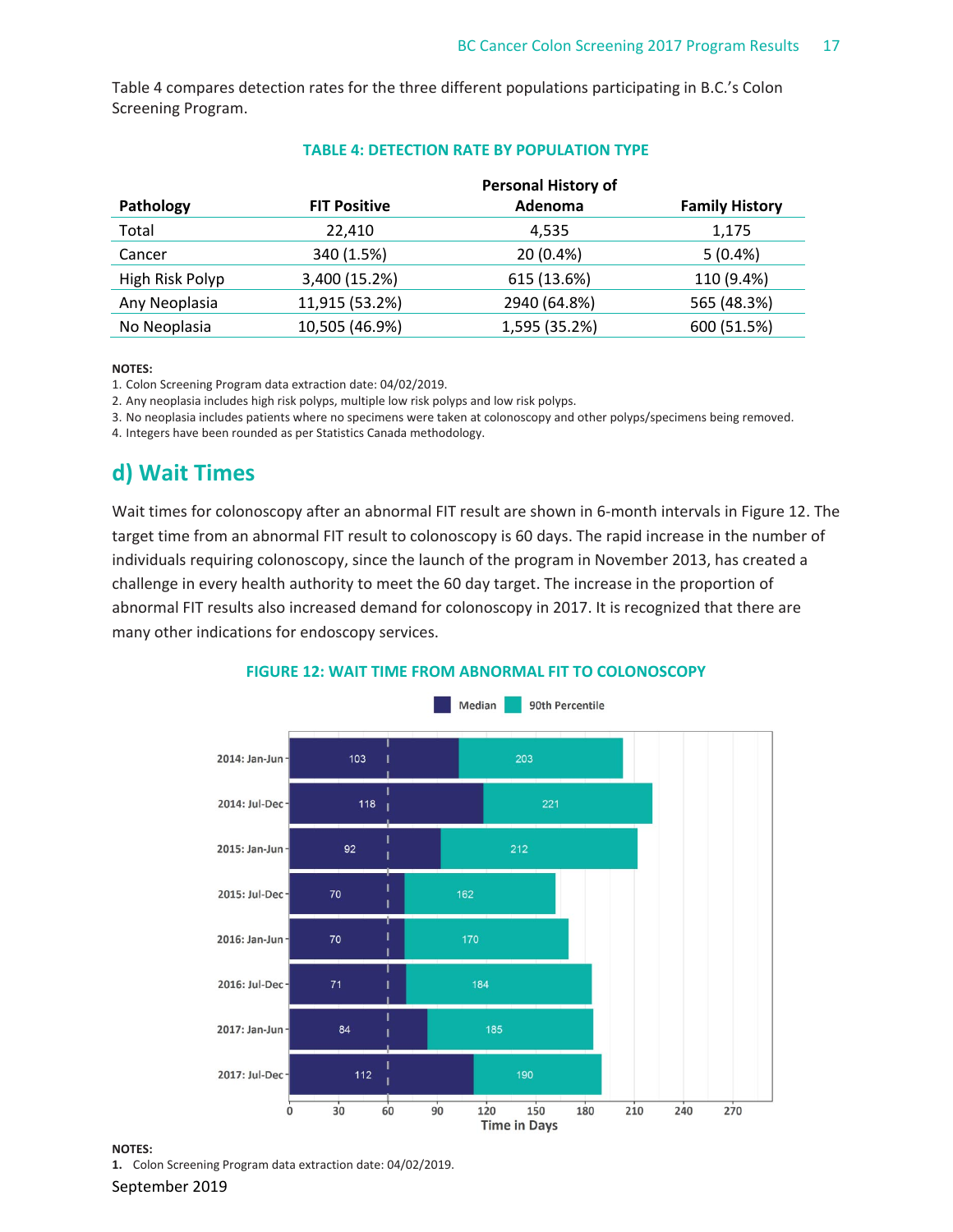Table 4 compares detection rates for the three different populations participating in B.C.'s Colon Screening Program.

|                 |                     | <b>Personal History of</b> |                       |
|-----------------|---------------------|----------------------------|-----------------------|
| Pathology       | <b>FIT Positive</b> | Adenoma                    | <b>Family History</b> |
| Total           | 22,410              | 4,535                      | 1,175                 |
| Cancer          | 340 (1.5%)          | 20 (0.4%)                  | $5(0.4\%)$            |
| High Risk Polyp | 3,400 (15.2%)       | 615 (13.6%)                | 110 (9.4%)            |
| Any Neoplasia   | 11,915 (53.2%)      | 2940 (64.8%)               | 565 (48.3%)           |
| No Neoplasia    | 10,505 (46.9%)      | 1,595 (35.2%)              | 600 (51.5%)           |

### **TABLE 4: DETECTION RATE BY POPULATION TYPE**

#### **NOTES:**

1. Colon Screening Program data extraction date: 04/02/2019.

2. Any neoplasia includes high risk polyps, multiple low risk polyps and low risk polyps.

3. No neoplasia includes patients where no specimens were taken at colonoscopy and other polyps/specimens being removed.

4. Integers have been rounded as per Statistics Canada methodology.

## **d) Wait Times**

Wait times for colonoscopy after an abnormal FIT result are shown in 6-month intervals in Figure 12. The target time from an abnormal FIT result to colonoscopy is 60 days. The rapid increase in the number of individuals requiring colonoscopy, since the launch of the program in November 2013, has created a challenge in every health authority to meet the 60 day target. The increase in the proportion of abnormal FIT results also increased demand for colonoscopy in 2017. It is recognized that there are many other indications for endoscopy services.





#### **NOTES:**

**1.** Colon Screening Program data extraction date: 04/02/2019.

September 2019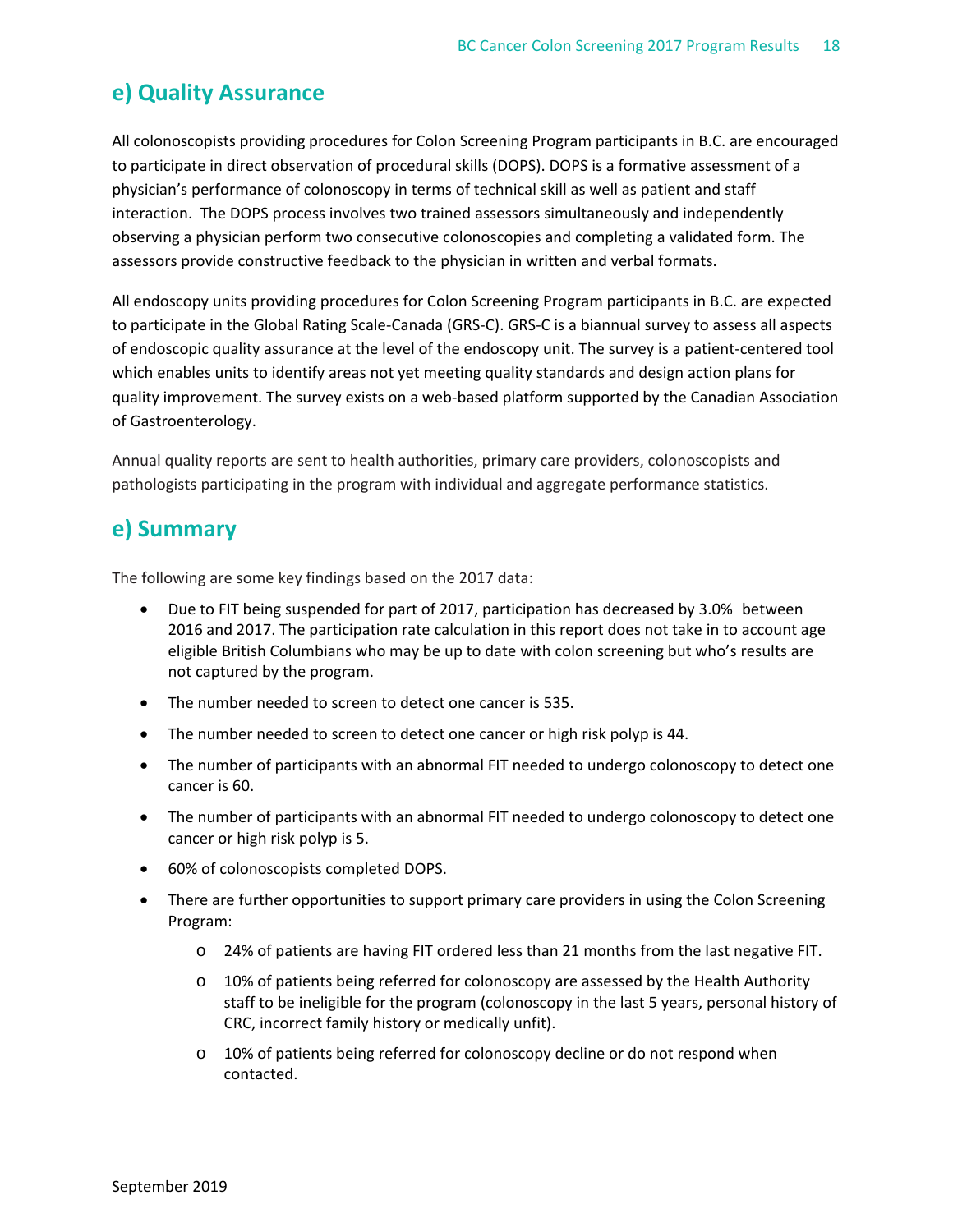# **e) Quality Assurance**

All colonoscopists providing procedures for Colon Screening Program participants in B.C. are encouraged to participate in direct observation of procedural skills (DOPS). DOPS is a formative assessment of a physician's performance of colonoscopy in terms of technical skill as well as patient and staff interaction. The DOPS process involves two trained assessors simultaneously and independently observing a physician perform two consecutive colonoscopies and completing a validated form. The assessors provide constructive feedback to the physician in written and verbal formats.

All endoscopy units providing procedures for Colon Screening Program participants in B.C. are expected to participate in the Global Rating Scale‐Canada (GRS‐C). GRS‐C is a biannual survey to assess all aspects of endoscopic quality assurance at the level of the endoscopy unit. The survey is a patient‐centered tool which enables units to identify areas not yet meeting quality standards and design action plans for quality improvement. The survey exists on a web-based platform supported by the Canadian Association of Gastroenterology.

Annual quality reports are sent to health authorities, primary care providers, colonoscopists and pathologists participating in the program with individual and aggregate performance statistics.

## **e) Summary**

The following are some key findings based on the 2017 data:

- Due to FIT being suspended for part of 2017, participation has decreased by 3.0% between 2016 and 2017. The participation rate calculation in this report does not take in to account age eligible British Columbians who may be up to date with colon screening but who's results are not captured by the program.
- The number needed to screen to detect one cancer is 535.
- The number needed to screen to detect one cancer or high risk polyp is 44.
- The number of participants with an abnormal FIT needed to undergo colonoscopy to detect one cancer is 60.
- The number of participants with an abnormal FIT needed to undergo colonoscopy to detect one cancer or high risk polyp is 5.
- 60% of colonoscopists completed DOPS.
- There are further opportunities to support primary care providers in using the Colon Screening Program:
	- o 24% of patients are having FIT ordered less than 21 months from the last negative FIT.
	- o 10% of patients being referred for colonoscopy are assessed by the Health Authority staff to be ineligible for the program (colonoscopy in the last 5 years, personal history of CRC, incorrect family history or medically unfit).
	- o 10% of patients being referred for colonoscopy decline or do not respond when contacted.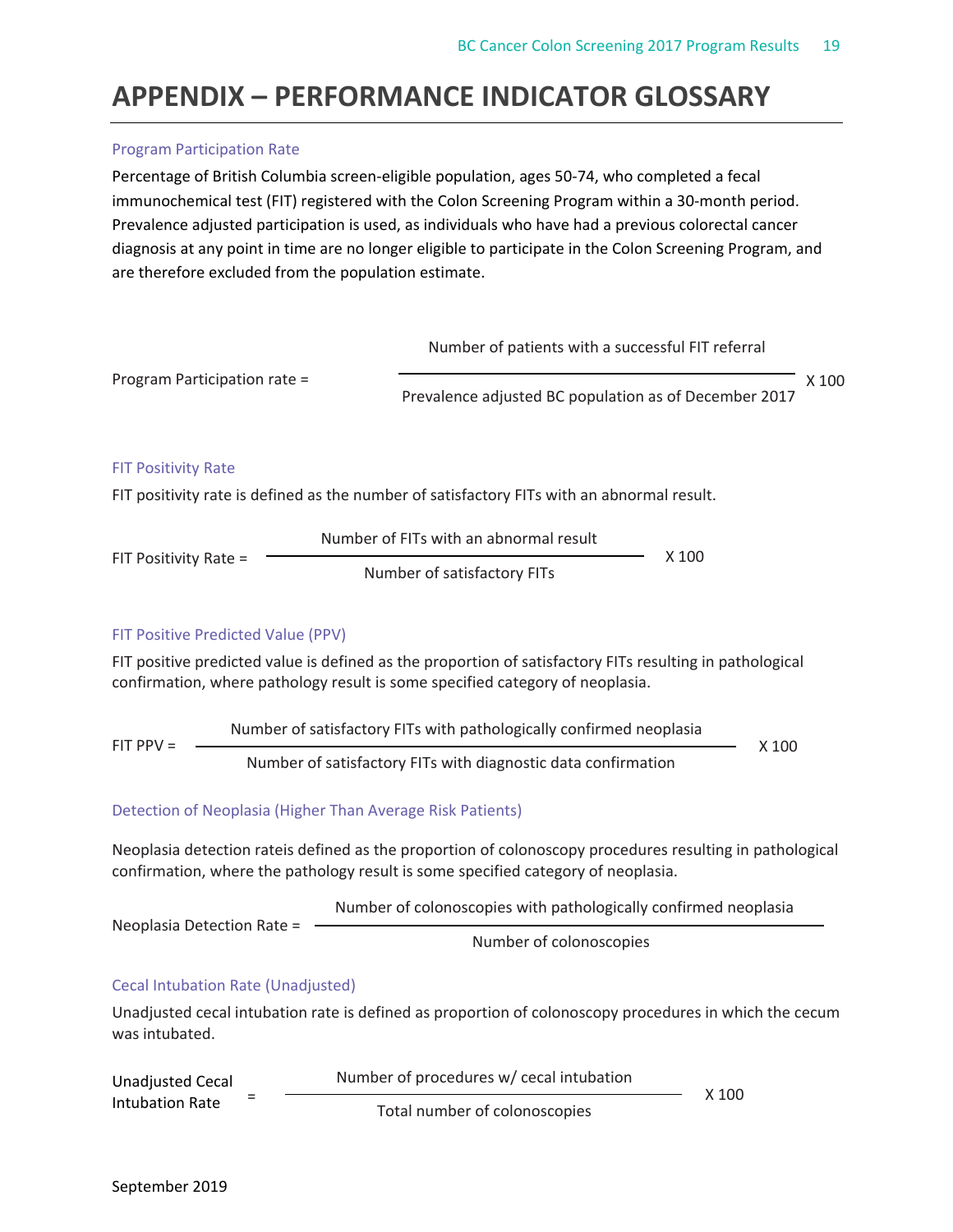# **APPENDIX – PERFORMANCE INDICATOR GLOSSARY**

## Program Participation Rate

Percentage of British Columbia screen‐eligible population, ages 50‐74, who completed a fecal immunochemical test (FIT) registered with the Colon Screening Program within a 30-month period. Prevalence adjusted participation is used, as individuals who have had a previous colorectal cancer diagnosis at any point in time are no longer eligible to participate in the Colon Screening Program, and are therefore excluded from the population estimate.



| Unadjusted Cecal | $\overline{\phantom{a}}$ | Number of procedures w/ cecal intubation | $X$ 100 |
|------------------|--------------------------|------------------------------------------|---------|
| Intubation Rate  |                          | Total number of colonoscopies            |         |